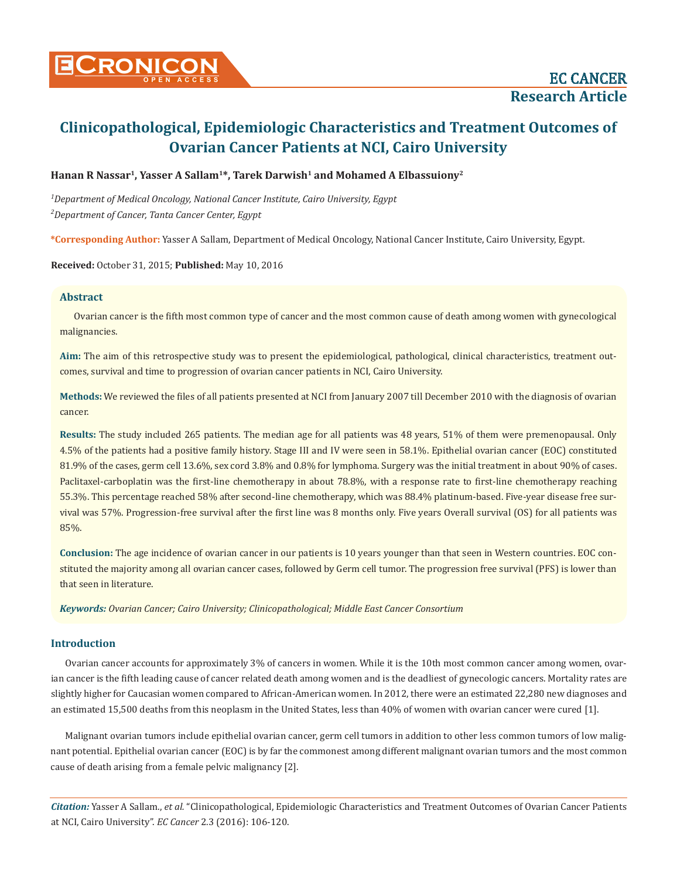# **Cronicon OPEN ACCESS** EC CANCER

# **Clinicopathological, Epidemiologic Characteristics and Treatment Outcomes of Ovarian Cancer Patients at NCI, Cairo University**

Hanan R Nassar<sup>1</sup>, Yasser A Sallam<sup>1\*</sup>, Tarek Darwish<sup>1</sup> and Mohamed A Elbassuiony<sup>2</sup>

*1 Department of Medical Oncology, National Cancer Institute, Cairo University, Egypt 2 Department of Cancer, Tanta Cancer Center, Egypt*

**\*Corresponding Author:** Yasser A Sallam, Department of Medical Oncology, National Cancer Institute, Cairo University, Egypt.

**Received:** October 31, 2015; **Published:** May 10, 2016

# **Abstract**

Ovarian cancer is the fifth most common type of cancer and the most common cause of death among women with gynecological malignancies.

**Aim:** The aim of this retrospective study was to present the epidemiological, pathological, clinical characteristics, treatment outcomes, survival and time to progression of ovarian cancer patients in NCI, Cairo University.

**Methods:** We reviewed the files of all patients presented at NCI from January 2007 till December 2010 with the diagnosis of ovarian cancer.

**Results:** The study included 265 patients. The median age for all patients was 48 years, 51% of them were premenopausal. Only 4.5% of the patients had a positive family history. Stage III and IV were seen in 58.1%. Epithelial ovarian cancer (EOC) constituted 81.9% of the cases, germ cell 13.6%, sex cord 3.8% and 0.8% for lymphoma. Surgery was the initial treatment in about 90% of cases. Paclitaxel-carboplatin was the first-line chemotherapy in about 78.8%, with a response rate to first-line chemotherapy reaching 55.3%. This percentage reached 58% after second-line chemotherapy, which was 88.4% platinum-based. Five-year disease free survival was 57%. Progression-free survival after the first line was 8 months only. Five years Overall survival (OS) for all patients was 85%.

**Conclusion:** The age incidence of ovarian cancer in our patients is 10 years younger than that seen in Western countries. EOC constituted the majority among all ovarian cancer cases, followed by Germ cell tumor. The progression free survival (PFS) is lower than that seen in literature.

*Keywords: Ovarian Cancer; Cairo University; Clinicopathological; Middle East Cancer Consortium*

# **Introduction**

Ovarian cancer accounts for approximately 3% of cancers in women. While it is the 10th most common cancer among women, ovarian cancer is the fifth leading cause of cancer related death among women and is the deadliest of gynecologic cancers. Mortality rates are slightly higher for Caucasian women compared to African-American women. In 2012, there were an estimated 22,280 new diagnoses and an estimated 15,500 deaths from this neoplasm in the United States, less than 40% of women with ovarian cancer were cured [1].

Malignant ovarian tumors include epithelial ovarian cancer, germ cell tumors in addition to other less common tumors of low malignant potential. Epithelial ovarian cancer (EOC) is by far the commonest among different malignant ovarian tumors and the most common cause of death arising from a female pelvic malignancy [2].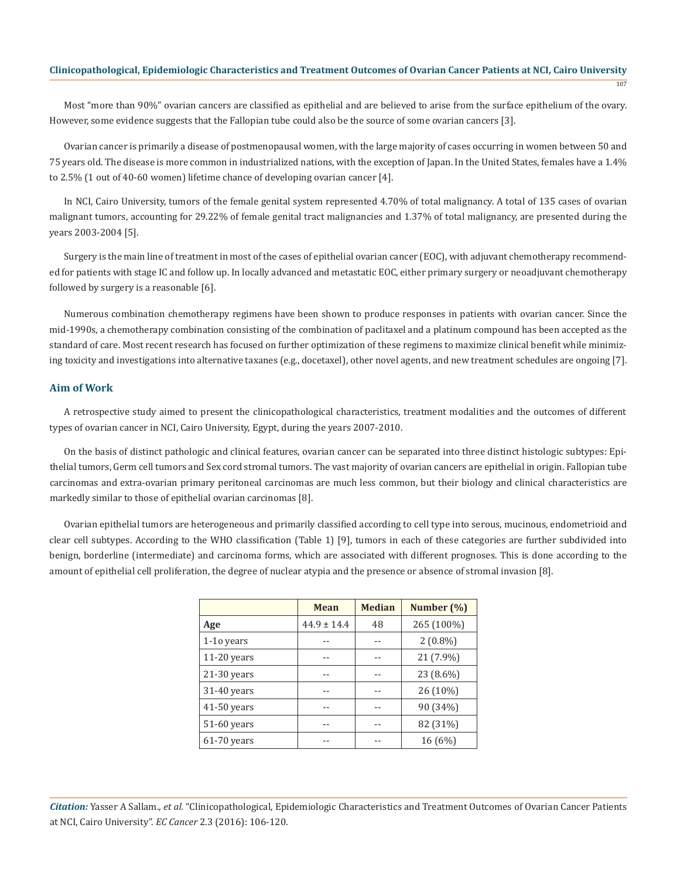107

Most "more than 90%" ovarian cancers are classified as epithelial and are believed to arise from the surface epithelium of the ovary. However, some evidence suggests that the Fallopian tube could also be the source of some ovarian cancers [3].

Ovarian cancer is primarily a disease of postmenopausal women, with the large majority of cases occurring in women between 50 and 75 years old. The disease is more common in industrialized nations, with the exception of Japan. In the United States, females have a 1.4% to 2.5% (1 out of 40-60 women) lifetime chance of developing ovarian cancer [4].

In NCI, Cairo University, tumors of the female genital system represented 4.70% of total malignancy. A total of 135 cases of ovarian malignant tumors, accounting for 29.22% of female genital tract malignancies and 1.37% of total malignancy, are presented during the years 2003-2004 [5].

Surgery is the main line of treatment in most of the cases of epithelial ovarian cancer (EOC), with adjuvant chemotherapy recommended for patients with stage IC and follow up. In locally advanced and metastatic EOC, either primary surgery or neoadjuvant chemotherapy followed by surgery is a reasonable [6].

Numerous combination chemotherapy regimens have been shown to produce responses in patients with ovarian cancer. Since the mid-1990s, a chemotherapy combination consisting of the combination of paclitaxel and a platinum compound has been accepted as the standard of care. Most recent research has focused on further optimization of these regimens to maximize clinical benefit while minimizing toxicity and investigations into alternative taxanes (e.g., docetaxel), other novel agents, and new treatment schedules are ongoing [7].

# **Aim of Work**

A retrospective study aimed to present the clinicopathological characteristics, treatment modalities and the outcomes of different types of ovarian cancer in NCI, Cairo University, Egypt, during the years 2007-2010.

On the basis of distinct pathologic and clinical features, ovarian cancer can be separated into three distinct histologic subtypes: Epithelial tumors, Germ cell tumors and Sex cord stromal tumors. The vast majority of ovarian cancers are epithelial in origin. Fallopian tube carcinomas and extra-ovarian primary peritoneal carcinomas are much less common, but their biology and clinical characteristics are markedly similar to those of epithelial ovarian carcinomas [8].

Ovarian epithelial tumors are heterogeneous and primarily classified according to cell type into serous, mucinous, endometrioid and clear cell subtypes. According to the WHO classification (Table 1) [9], tumors in each of these categories are further subdivided into benign, borderline (intermediate) and carcinoma forms, which are associated with different prognoses. This is done according to the amount of epithelial cell proliferation, the degree of nuclear atypia and the presence or absence of stromal invasion [8].

|               | <b>Mean</b>     | <b>Median</b> | Number (%) |
|---------------|-----------------|---------------|------------|
| Age           | $44.9 \pm 14.4$ | 48            | 265 (100%) |
| 1-10 years    |                 |               | $2(0.8\%)$ |
| $11-20$ years |                 |               | 21 (7.9%)  |
| $21-30$ years |                 |               | 23 (8.6%)  |
| 31-40 years   |                 |               | 26 (10%)   |
| $41-50$ years |                 |               | 90 (34%)   |
| 51-60 years   |                 |               | 82 (31%)   |
| 61-70 years   |                 |               | 16(6%)     |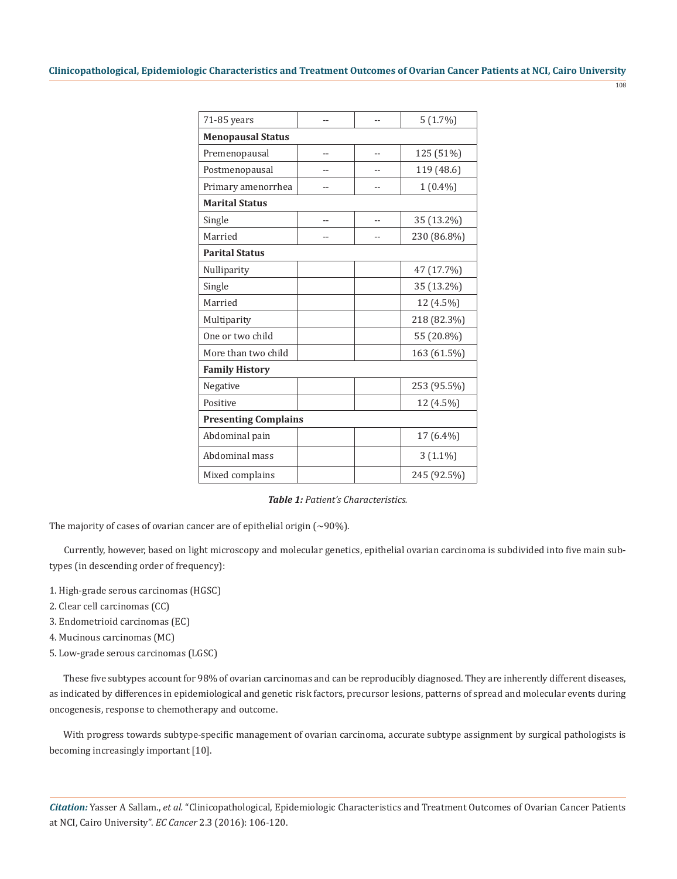| ٦               | ۰,      |  |
|-----------------|---------|--|
| 원 사<br>×<br>. . | I<br>۰, |  |

| 71-85 years                 |  |    | $5(1.7\%)$  |  |  |  |
|-----------------------------|--|----|-------------|--|--|--|
| <b>Menopausal Status</b>    |  |    |             |  |  |  |
| Premenopausal               |  | -- | 125 (51%)   |  |  |  |
| Postmenopausal              |  |    | 119 (48.6)  |  |  |  |
| Primary amenorrhea          |  |    | $1(0.4\%)$  |  |  |  |
| <b>Marital Status</b>       |  |    |             |  |  |  |
| Single                      |  |    | 35 (13.2%)  |  |  |  |
| Married                     |  |    | 230 (86.8%) |  |  |  |
| <b>Parital Status</b>       |  |    |             |  |  |  |
| Nulliparity                 |  |    | 47 (17.7%)  |  |  |  |
| Single                      |  |    | 35 (13.2%)  |  |  |  |
| Married                     |  |    | 12 (4.5%)   |  |  |  |
| Multiparity                 |  |    | 218 (82.3%) |  |  |  |
| One or two child            |  |    | 55 (20.8%)  |  |  |  |
| More than two child         |  |    | 163 (61.5%) |  |  |  |
| <b>Family History</b>       |  |    |             |  |  |  |
| Negative                    |  |    | 253 (95.5%) |  |  |  |
| Positive                    |  |    | 12 (4.5%)   |  |  |  |
| <b>Presenting Complains</b> |  |    |             |  |  |  |
| Abdominal pain              |  |    | 17 (6.4%)   |  |  |  |
| Abdominal mass              |  |    | $3(1.1\%)$  |  |  |  |
| Mixed complains             |  |    | 245 (92.5%) |  |  |  |

*Table 1: Patient's Characteristics.*

The majority of cases of ovarian cancer are of epithelial origin  $({\sim}90\%)$ .

Currently, however, based on light microscopy and molecular genetics, epithelial ovarian carcinoma is subdivided into five main subtypes (in descending order of frequency):

- 1. High-grade serous carcinomas (HGSC)
- 2. Clear cell carcinomas (CC)
- 3. Endometrioid carcinomas (EC)
- 4. Mucinous carcinomas (MC)
- 5. Low-grade serous carcinomas (LGSC)

These five subtypes account for 98% of ovarian carcinomas and can be reproducibly diagnosed. They are inherently different diseases, as indicated by differences in epidemiological and genetic risk factors, precursor lesions, patterns of spread and molecular events during oncogenesis, response to chemotherapy and outcome.

With progress towards subtype-specific management of ovarian carcinoma, accurate subtype assignment by surgical pathologists is becoming increasingly important [10].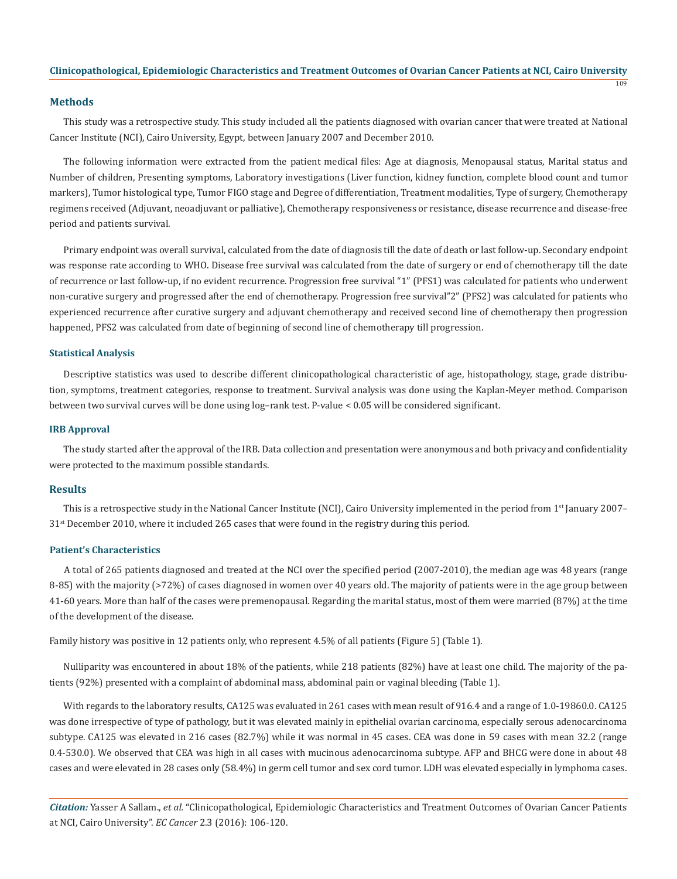109

#### **Methods**

This study was a retrospective study. This study included all the patients diagnosed with ovarian cancer that were treated at National Cancer Institute (NCI), Cairo University, Egypt, between January 2007 and December 2010.

The following information were extracted from the patient medical files: Age at diagnosis, Menopausal status, Marital status and Number of children, Presenting symptoms, Laboratory investigations (Liver function, kidney function, complete blood count and tumor markers), Tumor histological type, Tumor FIGO stage and Degree of differentiation, Treatment modalities, Type of surgery, Chemotherapy regimens received (Adjuvant, neoadjuvant or palliative), Chemotherapy responsiveness or resistance, disease recurrence and disease-free period and patients survival.

Primary endpoint was overall survival, calculated from the date of diagnosis till the date of death or last follow-up. Secondary endpoint was response rate according to WHO. Disease free survival was calculated from the date of surgery or end of chemotherapy till the date of recurrence or last follow-up, if no evident recurrence. Progression free survival "1" (PFS1) was calculated for patients who underwent non-curative surgery and progressed after the end of chemotherapy. Progression free survival"2" (PFS2) was calculated for patients who experienced recurrence after curative surgery and adjuvant chemotherapy and received second line of chemotherapy then progression happened, PFS2 was calculated from date of beginning of second line of chemotherapy till progression.

#### **Statistical Analysis**

Descriptive statistics was used to describe different clinicopathological characteristic of age, histopathology, stage, grade distribution, symptoms, treatment categories, response to treatment. Survival analysis was done using the Kaplan-Meyer method. Comparison between two survival curves will be done using log–rank test. P-value < 0.05 will be considered significant.

#### **IRB Approval**

The study started after the approval of the IRB. Data collection and presentation were anonymous and both privacy and confidentiality were protected to the maximum possible standards.

#### **Results**

This is a retrospective study in the National Cancer Institute (NCI), Cairo University implemented in the period from 1st January 2007–  $31<sup>st</sup>$  December 2010, where it included 265 cases that were found in the registry during this period.

#### **Patient's Characteristics**

A total of 265 patients diagnosed and treated at the NCI over the specified period (2007-2010), the median age was 48 years (range 8-85) with the majority (>72%) of cases diagnosed in women over 40 years old. The majority of patients were in the age group between 41-60 years. More than half of the cases were premenopausal. Regarding the marital status, most of them were married (87%) at the time of the development of the disease.

Family history was positive in 12 patients only, who represent 4.5% of all patients (Figure 5) (Table 1).

Nulliparity was encountered in about 18% of the patients, while 218 patients (82%) have at least one child. The majority of the patients (92%) presented with a complaint of abdominal mass, abdominal pain or vaginal bleeding (Table 1).

With regards to the laboratory results, CA125 was evaluated in 261 cases with mean result of 916.4 and a range of 1.0-19860.0. CA125 was done irrespective of type of pathology, but it was elevated mainly in epithelial ovarian carcinoma, especially serous adenocarcinoma subtype. CA125 was elevated in 216 cases (82.7%) while it was normal in 45 cases. CEA was done in 59 cases with mean 32.2 (range 0.4-530.0). We observed that CEA was high in all cases with mucinous adenocarcinoma subtype. AFP and BHCG were done in about 48 cases and were elevated in 28 cases only (58.4%) in germ cell tumor and sex cord tumor. LDH was elevated especially in lymphoma cases.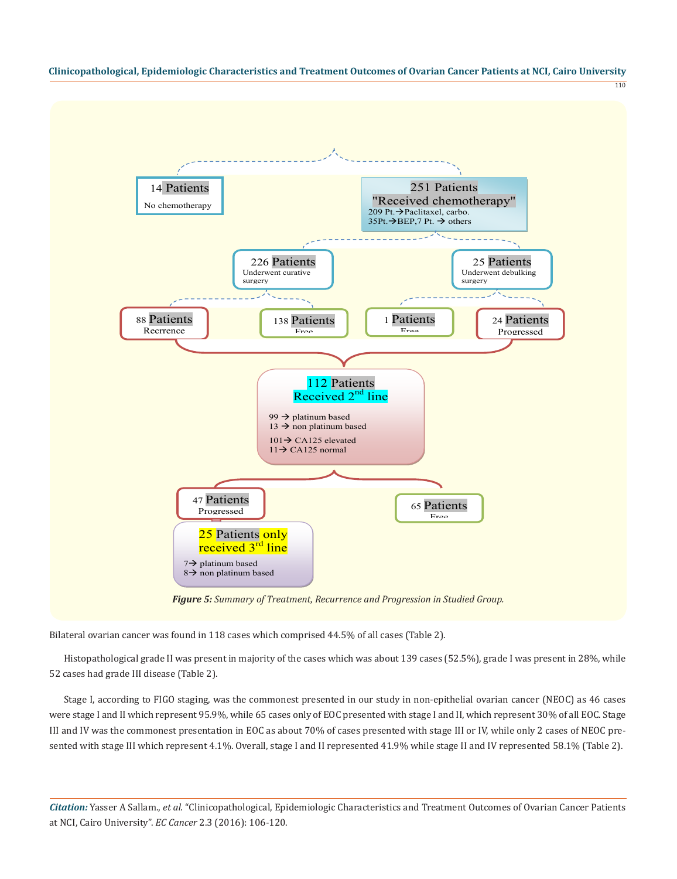110



*Figure 5: Summary of Treatment, Recurrence and Progression in Studied Group.*

Bilateral ovarian cancer was found in 118 cases which comprised 44.5% of all cases (Table 2).

Histopathological grade II was present in majority of the cases which was about 139 cases (52.5%), grade I was present in 28%, while 52 cases had grade III disease (Table 2).

Stage I, according to FIGO staging, was the commonest presented in our study in non-epithelial ovarian cancer (NEOC) as 46 cases were stage I and II which represent 95.9%, while 65 cases only of EOC presented with stage I and II, which represent 30% of all EOC. Stage III and IV was the commonest presentation in EOC as about 70% of cases presented with stage III or IV, while only 2 cases of NEOC presented with stage III which represent 4.1%. Overall, stage I and II represented 41.9% while stage II and IV represented 58.1% (Table 2).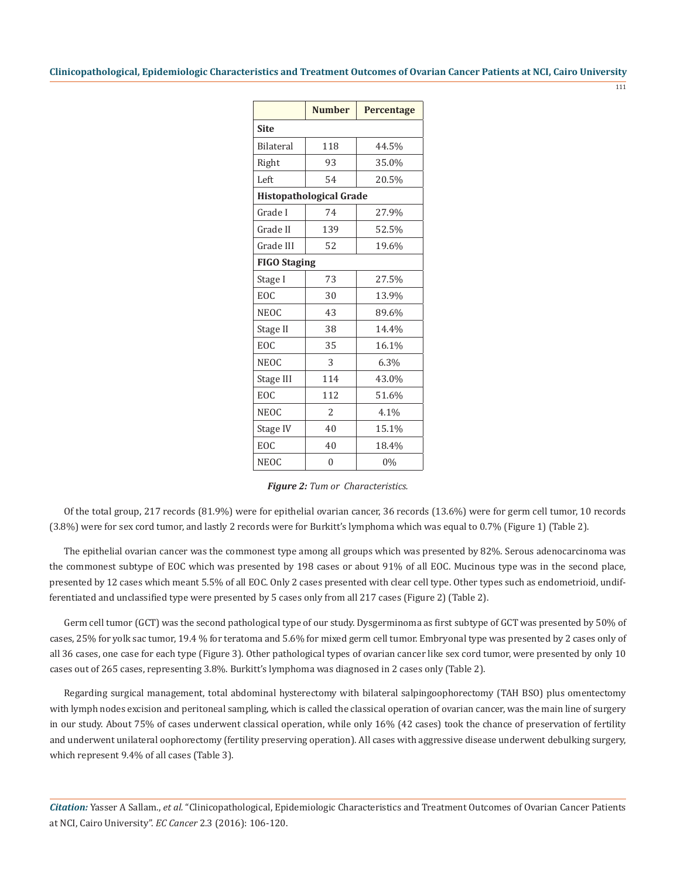111

|                     | <b>Number</b>                  | Percentage |  |  |  |
|---------------------|--------------------------------|------------|--|--|--|
| <b>Site</b>         |                                |            |  |  |  |
| <b>Bilateral</b>    | 118                            | 44.5%      |  |  |  |
| Right               | 93                             | 35.0%      |  |  |  |
| Left                | 54                             | 20.5%      |  |  |  |
|                     | <b>Histopathological Grade</b> |            |  |  |  |
| Grade I             | 74                             | 27.9%      |  |  |  |
| Grade II            | 139                            | 52.5%      |  |  |  |
| Grade III           | 52                             | 19.6%      |  |  |  |
| <b>FIGO Staging</b> |                                |            |  |  |  |
| Stage I             | 73                             | 27.5%      |  |  |  |
| EOC                 | 30                             | 13.9%      |  |  |  |
| <b>NEOC</b>         | 43                             | 89.6%      |  |  |  |
| Stage II            | 38                             | 14.4%      |  |  |  |
| EOC                 | 35                             | 16.1%      |  |  |  |
| <b>NEOC</b>         | 3                              | 6.3%       |  |  |  |
| Stage III           | 114                            | 43.0%      |  |  |  |
| EOC                 | 112                            | 51.6%      |  |  |  |
| <b>NEOC</b>         | $\overline{\mathcal{L}}$       | 4.1%       |  |  |  |
| Stage IV            | 40                             | 15.1%      |  |  |  |
| EOC                 | 40                             | 18.4%      |  |  |  |
| <b>NEOC</b>         | $\Omega$                       | 0%         |  |  |  |

| <b>Figure 2:</b> Tum or Characteristics. |  |
|------------------------------------------|--|
|------------------------------------------|--|

Of the total group, 217 records (81.9%) were for epithelial ovarian cancer, 36 records (13.6%) were for germ cell tumor, 10 records (3.8%) were for sex cord tumor, and lastly 2 records were for Burkitt's lymphoma which was equal to 0.7% (Figure 1) (Table 2).

The epithelial ovarian cancer was the commonest type among all groups which was presented by 82%. Serous adenocarcinoma was the commonest subtype of EOC which was presented by 198 cases or about 91% of all EOC. Mucinous type was in the second place, presented by 12 cases which meant 5.5% of all EOC. Only 2 cases presented with clear cell type. Other types such as endometrioid, undifferentiated and unclassified type were presented by 5 cases only from all 217 cases (Figure 2) (Table 2).

Germ cell tumor (GCT) was the second pathological type of our study. Dysgerminoma as first subtype of GCT was presented by 50% of cases, 25% for yolk sac tumor, 19.4 % for teratoma and 5.6% for mixed germ cell tumor. Embryonal type was presented by 2 cases only of all 36 cases, one case for each type (Figure 3). Other pathological types of ovarian cancer like sex cord tumor, were presented by only 10 cases out of 265 cases, representing 3.8%. Burkitt's lymphoma was diagnosed in 2 cases only (Table 2).

Regarding surgical management, total abdominal hysterectomy with bilateral salpingoophorectomy (TAH BSO) plus omentectomy with lymph nodes excision and peritoneal sampling, which is called the classical operation of ovarian cancer, was the main line of surgery in our study. About 75% of cases underwent classical operation, while only 16% (42 cases) took the chance of preservation of fertility and underwent unilateral oophorectomy (fertility preserving operation). All cases with aggressive disease underwent debulking surgery, which represent 9.4% of all cases (Table 3).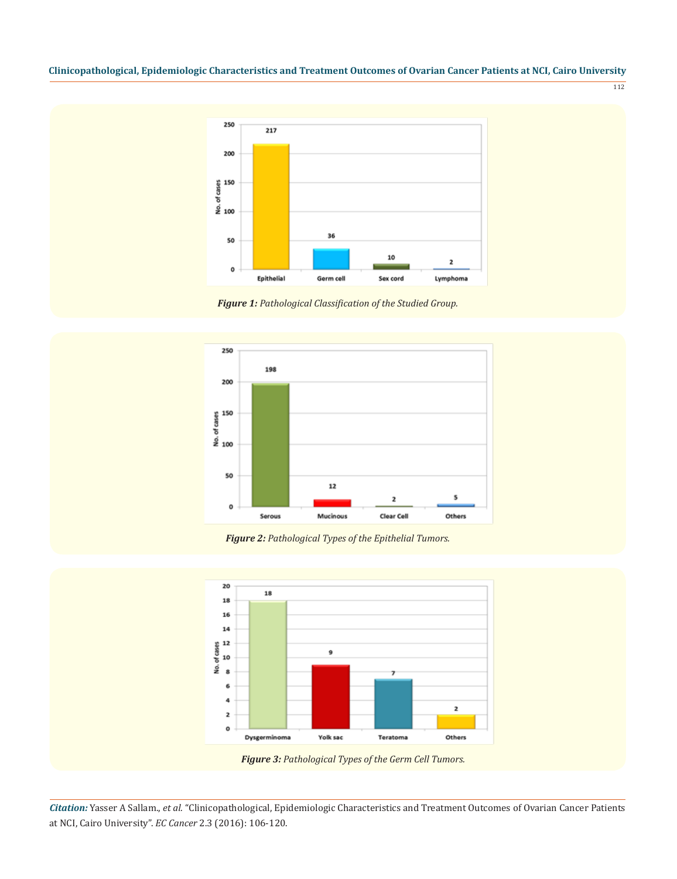112



*Figure 1: Pathological Classification of the Studied Group.*



*Figure 2: Pathological Types of the Epithelial Tumors.*



 *Figure 3: Pathological Types of the Germ Cell Tumors.*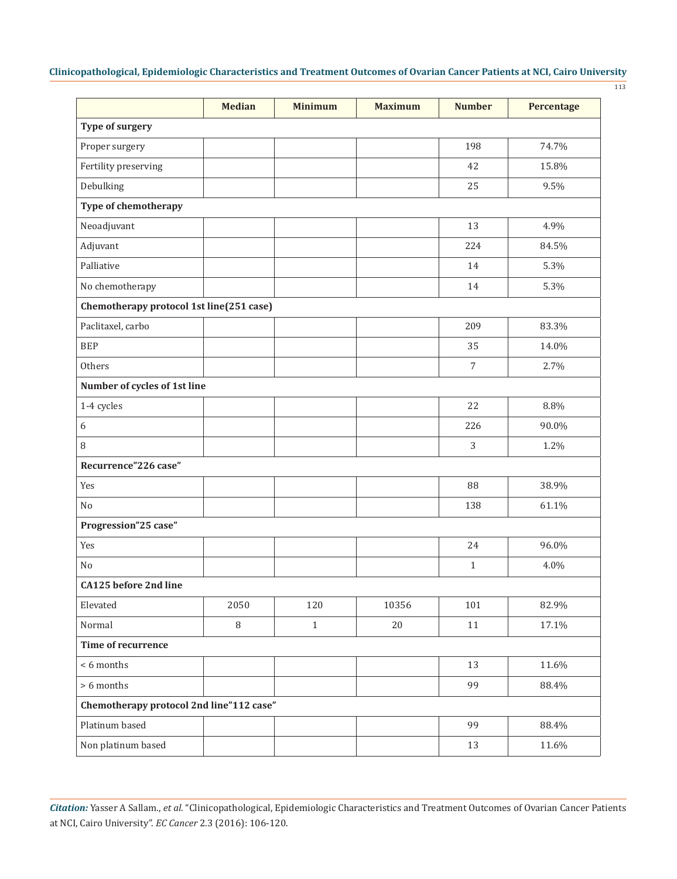113

|                                          | <b>Median</b> | <b>Minimum</b> | <b>Maximum</b> | <b>Number</b> | Percentage |
|------------------------------------------|---------------|----------------|----------------|---------------|------------|
| <b>Type of surgery</b>                   |               |                |                |               |            |
| Proper surgery                           |               |                |                | 198           | 74.7%      |
| Fertility preserving                     |               |                |                | 42            | 15.8%      |
| Debulking                                |               |                |                | 25            | 9.5%       |
| Type of chemotherapy                     |               |                |                |               |            |
| Neoadjuvant                              |               |                |                | 13            | 4.9%       |
| Adjuvant                                 |               |                |                | 224           | 84.5%      |
| Palliative                               |               |                |                | 14            | 5.3%       |
| No chemotherapy                          |               |                |                | 14            | 5.3%       |
| Chemotherapy protocol 1st line(251 case) |               |                |                |               |            |
| Paclitaxel, carbo                        |               |                |                | 209           | 83.3%      |
| <b>BEP</b>                               |               |                |                | 35            | 14.0%      |
| Others                                   |               |                |                | $\sqrt{ }$    | 2.7%       |
| Number of cycles of 1st line             |               |                |                |               |            |
| 1-4 cycles                               |               |                |                | 22            | 8.8%       |
| 6                                        |               |                |                | 226           | 90.0%      |
| 8                                        |               |                |                | 3             | 1.2%       |
| Recurrence"226 case"                     |               |                |                |               |            |
| Yes                                      |               |                |                | 88            | 38.9%      |
| N <sub>o</sub>                           |               |                |                | 138           | 61.1%      |
| Progression"25 case"                     |               |                |                |               |            |
| Yes                                      |               |                |                | 24            | 96.0%      |
| No                                       |               |                |                | $\mathbf{1}$  | 4.0%       |
| CA125 before 2nd line                    |               |                |                |               |            |
| Elevated                                 | 2050          | 120            | 10356          | 101           | 82.9%      |
| Normal                                   | $\, 8$        | $\mathbf{1}$   | 20             | 11            | 17.1%      |
| Time of recurrence                       |               |                |                |               |            |
| < 6 months                               |               |                |                | 13            | 11.6%      |
| > 6 months                               |               |                |                | 99            | 88.4%      |
| Chemotherapy protocol 2nd line"112 case" |               |                |                |               |            |
| Platinum based                           |               |                |                | 99            | 88.4%      |
| Non platinum based                       |               |                |                | 13            | 11.6%      |
|                                          |               |                |                |               |            |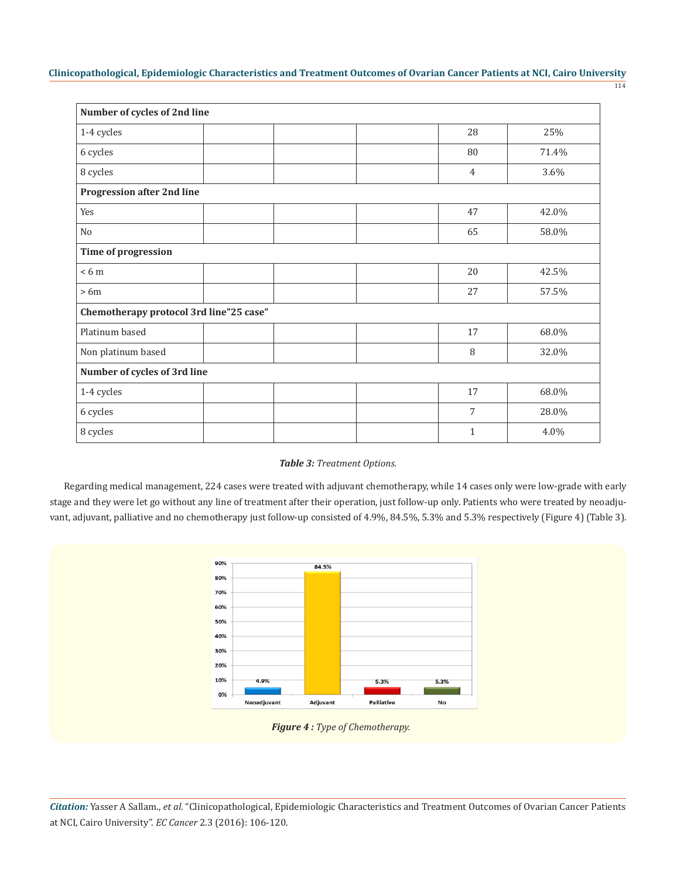| Number of cycles of 2nd line            |  |  |  |                |       |
|-----------------------------------------|--|--|--|----------------|-------|
| 1-4 cycles                              |  |  |  | 28             | 25%   |
| 6 cycles                                |  |  |  | 80             | 71.4% |
| 8 cycles                                |  |  |  | $\overline{4}$ | 3.6%  |
| <b>Progression after 2nd line</b>       |  |  |  |                |       |
| Yes                                     |  |  |  | 47             | 42.0% |
| No                                      |  |  |  | 65             | 58.0% |
| Time of progression                     |  |  |  |                |       |
| < 6m                                    |  |  |  | 20             | 42.5% |
| $>6m$                                   |  |  |  | 27             | 57.5% |
| Chemotherapy protocol 3rd line"25 case" |  |  |  |                |       |
| Platinum based                          |  |  |  | 17             | 68.0% |
| Non platinum based                      |  |  |  | 8              | 32.0% |
| Number of cycles of 3rd line            |  |  |  |                |       |
| 1-4 cycles                              |  |  |  | 17             | 68.0% |
| 6 cycles                                |  |  |  | 7              | 28.0% |
| 8 cycles                                |  |  |  | $\mathbf{1}$   | 4.0%  |

# *Table 3: Treatment Options.*

Regarding medical management, 224 cases were treated with adjuvant chemotherapy, while 14 cases only were low-grade with early stage and they were let go without any line of treatment after their operation, just follow-up only. Patients who were treated by neoadjuvant, adjuvant, palliative and no chemotherapy just follow-up consisted of 4.9%, 84.5%, 5.3% and 5.3% respectively (Figure 4) (Table 3).



 *Figure 4 : Type of Chemotherapy.*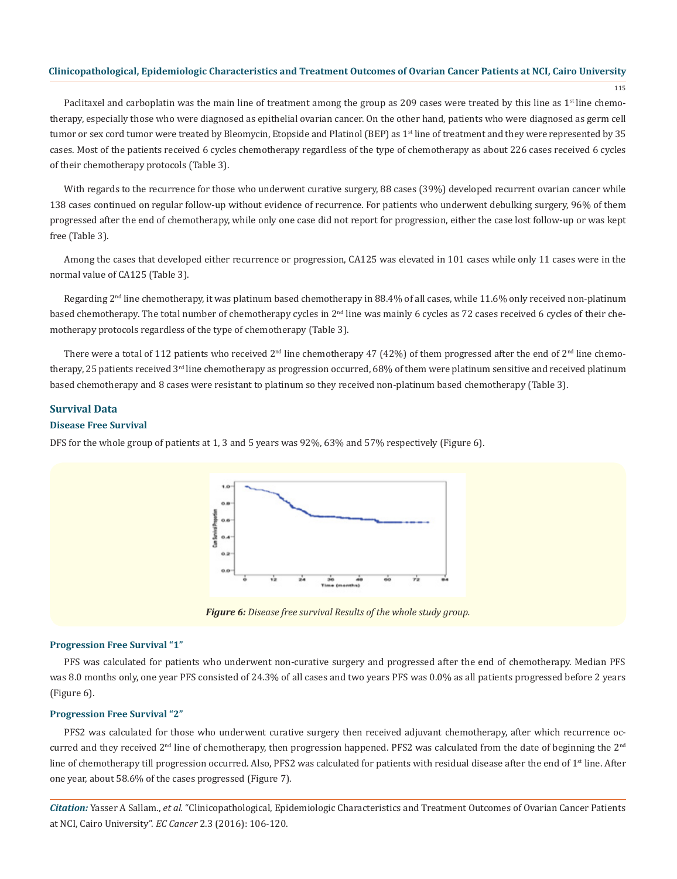115

Paclitaxel and carboplatin was the main line of treatment among the group as 209 cases were treated by this line as  $1<sup>st</sup>$  line chemotherapy, especially those who were diagnosed as epithelial ovarian cancer. On the other hand, patients who were diagnosed as germ cell tumor or sex cord tumor were treated by Bleomycin, Etopside and Platinol (BEP) as 1<sup>st</sup> line of treatment and they were represented by 35 cases. Most of the patients received 6 cycles chemotherapy regardless of the type of chemotherapy as about 226 cases received 6 cycles of their chemotherapy protocols (Table 3).

With regards to the recurrence for those who underwent curative surgery, 88 cases (39%) developed recurrent ovarian cancer while 138 cases continued on regular follow-up without evidence of recurrence. For patients who underwent debulking surgery, 96% of them progressed after the end of chemotherapy, while only one case did not report for progression, either the case lost follow-up or was kept free (Table 3).

Among the cases that developed either recurrence or progression, CA125 was elevated in 101 cases while only 11 cases were in the normal value of CA125 (Table 3).

Regarding  $2<sup>nd</sup>$  line chemotherapy, it was platinum based chemotherapy in 88.4% of all cases, while 11.6% only received non-platinum based chemotherapy. The total number of chemotherapy cycles in 2nd line was mainly 6 cycles as 72 cases received 6 cycles of their chemotherapy protocols regardless of the type of chemotherapy (Table 3).

There were a total of 112 patients who received  $2^{nd}$  line chemotherapy 47 (42%) of them progressed after the end of  $2^{nd}$  line chemotherapy, 25 patients received 3rd line chemotherapy as progression occurred, 68% of them were platinum sensitive and received platinum based chemotherapy and 8 cases were resistant to platinum so they received non-platinum based chemotherapy (Table 3).

# **Survival Data**

# **Disease Free Survival**

DFS for the whole group of patients at 1, 3 and 5 years was 92%, 63% and 57% respectively (Figure 6).



*Figure 6: Disease free survival Results of the whole study group.*

#### **Progression Free Survival "1"**

PFS was calculated for patients who underwent non-curative surgery and progressed after the end of chemotherapy. Median PFS was 8.0 months only, one year PFS consisted of 24.3% of all cases and two years PFS was 0.0% as all patients progressed before 2 years (Figure 6).

## **Progression Free Survival "2"**

PFS2 was calculated for those who underwent curative surgery then received adjuvant chemotherapy, after which recurrence occurred and they received 2<sup>nd</sup> line of chemotherapy, then progression happened. PFS2 was calculated from the date of beginning the 2<sup>nd</sup> line of chemotherapy till progression occurred. Also, PFS2 was calculated for patients with residual disease after the end of  $1<sup>st</sup>$  line. After one year, about 58.6% of the cases progressed (Figure 7).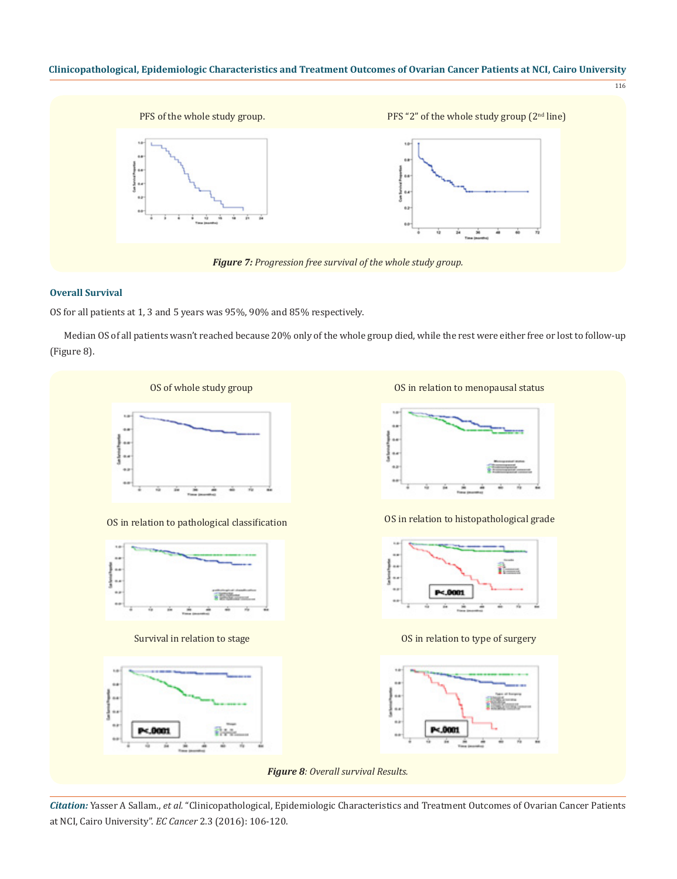

# **Overall Survival**

OS for all patients at 1, 3 and 5 years was 95%, 90% and 85% respectively.

Median OS of all patients wasn't reached because 20% only of the whole group died, while the rest were either free or lost to follow-up (Figure 8).

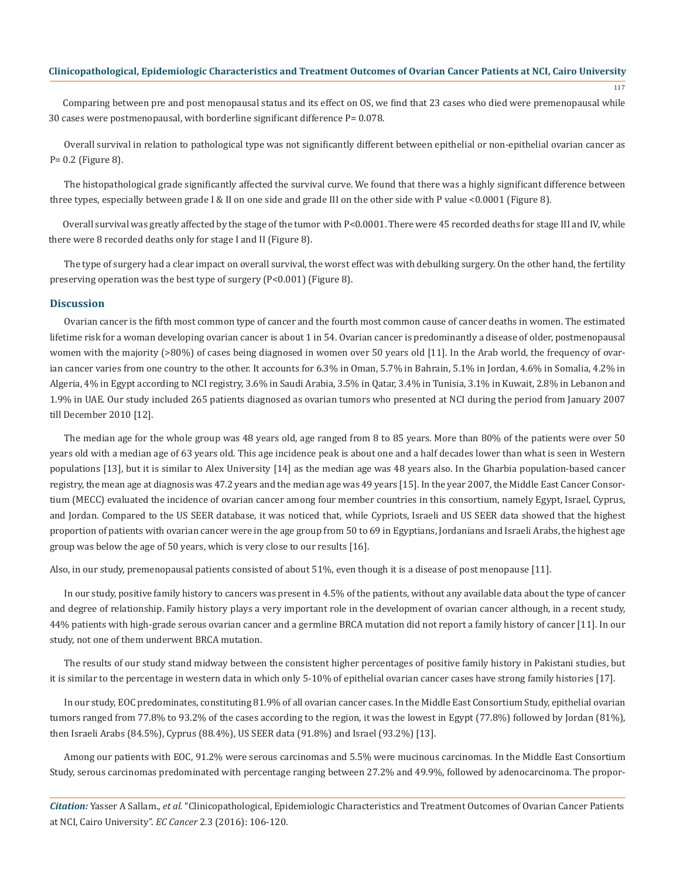117

Comparing between pre and post menopausal status and its effect on OS, we find that 23 cases who died were premenopausal while 30 cases were postmenopausal, with borderline significant difference P= 0.078.

Overall survival in relation to pathological type was not significantly different between epithelial or non-epithelial ovarian cancer as P= 0.2 (Figure 8).

The histopathological grade significantly affected the survival curve. We found that there was a highly significant difference between three types, especially between grade I & II on one side and grade III on the other side with P value <0.0001 (Figure 8).

Overall survival was greatly affected by the stage of the tumor with P<0.0001. There were 45 recorded deaths for stage III and IV, while there were 8 recorded deaths only for stage I and II (Figure 8).

The type of surgery had a clear impact on overall survival, the worst effect was with debulking surgery. On the other hand, the fertility preserving operation was the best type of surgery (P<0.001) (Figure 8).

#### **Discussion**

Ovarian cancer is the fifth most common type of cancer and the fourth most common cause of cancer deaths in women. The estimated lifetime risk for a woman developing ovarian cancer is about 1 in 54. Ovarian cancer is predominantly a disease of older, postmenopausal women with the majority (>80%) of cases being diagnosed in women over 50 years old [11]. In the Arab world, the frequency of ovarian cancer varies from one country to the other. It accounts for 6.3% in Oman, 5.7% in Bahrain, 5.1% in Jordan, 4.6% in Somalia, 4.2% in Algeria, 4% in Egypt according to NCI registry, 3.6% in Saudi Arabia, 3.5% in Qatar, 3.4% in Tunisia, 3.1% in Kuwait, 2.8% in Lebanon and 1.9% in UAE. Our study included 265 patients diagnosed as ovarian tumors who presented at NCI during the period from January 2007 till December 2010 [12].

The median age for the whole group was 48 years old, age ranged from 8 to 85 years. More than 80% of the patients were over 50 years old with a median age of 63 years old. This age incidence peak is about one and a half decades lower than what is seen in Western populations [13], but it is similar to Alex University [14] as the median age was 48 years also. In the Gharbia population-based cancer registry, the mean age at diagnosis was 47.2 years and the median age was 49 years [15]. In the year 2007, the Middle East Cancer Consortium (MECC) evaluated the incidence of ovarian cancer among four member countries in this consortium, namely Egypt, Israel, Cyprus, and Jordan. Compared to the US SEER database, it was noticed that, while Cypriots, Israeli and US SEER data showed that the highest proportion of patients with ovarian cancer were in the age group from 50 to 69 in Egyptians, Jordanians and Israeli Arabs, the highest age group was below the age of 50 years, which is very close to our results [16].

Also, in our study, premenopausal patients consisted of about 51%, even though it is a disease of post menopause [11].

In our study, positive family history to cancers was present in 4.5% of the patients, without any available data about the type of cancer and degree of relationship. Family history plays a very important role in the development of ovarian cancer although, in a recent study, 44% patients with high-grade serous ovarian cancer and a germline BRCA mutation did not report a family history of cancer [11]. In our study, not one of them underwent BRCA mutation.

The results of our study stand midway between the consistent higher percentages of positive family history in Pakistani studies, but it is similar to the percentage in western data in which only 5-10% of epithelial ovarian cancer cases have strong family histories [17].

In our study, EOC predominates, constituting 81.9% of all ovarian cancer cases. In the Middle East Consortium Study, epithelial ovarian tumors ranged from 77.8% to 93.2% of the cases according to the region, it was the lowest in Egypt (77.8%) followed by Jordan (81%), then Israeli Arabs (84.5%), Cyprus (88.4%), US SEER data (91.8%) and Israel (93.2%) [13].

Among our patients with EOC, 91.2% were serous carcinomas and 5.5% were mucinous carcinomas. In the Middle East Consortium Study, serous carcinomas predominated with percentage ranging between 27.2% and 49.9%, followed by adenocarcinoma. The propor-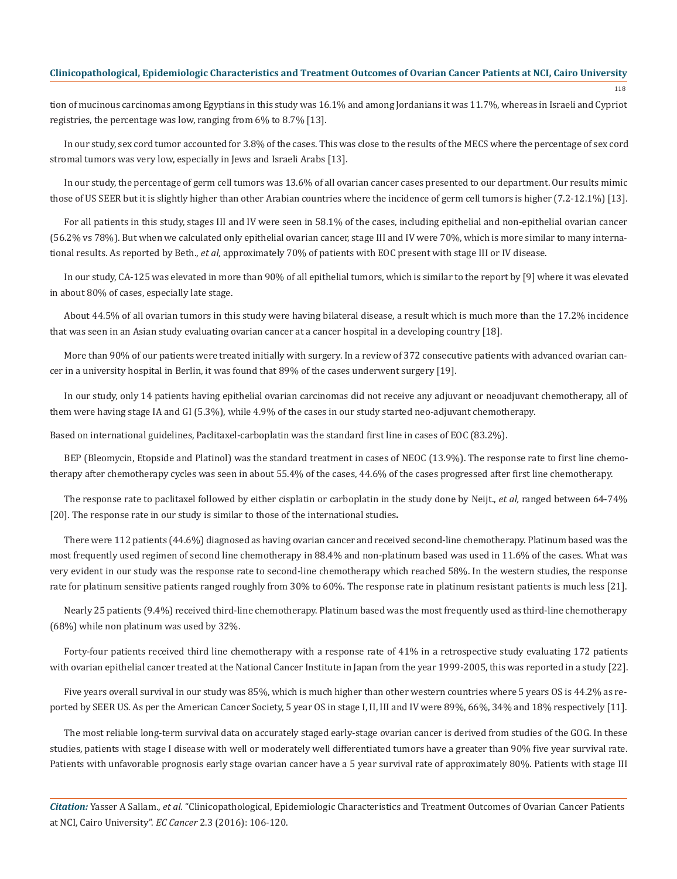118

tion of mucinous carcinomas among Egyptians in this study was 16.1% and among Jordanians it was 11.7%, whereas in Israeli and Cypriot registries, the percentage was low, ranging from 6% to 8.7% [13].

In our study, sex cord tumor accounted for 3.8% of the cases. This was close to the results of the MECS where the percentage of sex cord stromal tumors was very low, especially in Jews and Israeli Arabs [13].

In our study, the percentage of germ cell tumors was 13.6% of all ovarian cancer cases presented to our department. Our results mimic those of US SEER but it is slightly higher than other Arabian countries where the incidence of germ cell tumors is higher (7.2-12.1%) [13].

For all patients in this study, stages III and IV were seen in 58.1% of the cases, including epithelial and non-epithelial ovarian cancer (56.2% vs 78%). But when we calculated only epithelial ovarian cancer, stage III and IV were 70%, which is more similar to many international results. As reported by Beth., *et al,* approximately 70% of patients with EOC present with stage III or IV disease.

In our study, CA-125 was elevated in more than 90% of all epithelial tumors, which is similar to the report by [9] where it was elevated in about 80% of cases, especially late stage.

About 44.5% of all ovarian tumors in this study were having bilateral disease, a result which is much more than the 17.2% incidence that was seen in an Asian study evaluating ovarian cancer at a cancer hospital in a developing country [18].

More than 90% of our patients were treated initially with surgery. In a review of 372 consecutive patients with advanced ovarian cancer in a university hospital in Berlin, it was found that 89% of the cases underwent surgery [19].

In our study, only 14 patients having epithelial ovarian carcinomas did not receive any adjuvant or neoadjuvant chemotherapy, all of them were having stage IA and GI (5.3%), while 4.9% of the cases in our study started neo-adjuvant chemotherapy.

Based on international guidelines, Paclitaxel-carboplatin was the standard first line in cases of EOC (83.2%).

BEP (Bleomycin, Etopside and Platinol) was the standard treatment in cases of NEOC (13.9%). The response rate to first line chemotherapy after chemotherapy cycles was seen in about 55.4% of the cases, 44.6% of the cases progressed after first line chemotherapy.

The response rate to paclitaxel followed by either cisplatin or carboplatin in the study done by Neijt., *et al,* ranged between 64-74% [20]. The response rate in our study is similar to those of the international studies.

There were 112 patients (44.6%) diagnosed as having ovarian cancer and received second-line chemotherapy. Platinum based was the most frequently used regimen of second line chemotherapy in 88.4% and non-platinum based was used in 11.6% of the cases. What was very evident in our study was the response rate to second-line chemotherapy which reached 58%. In the western studies, the response rate for platinum sensitive patients ranged roughly from 30% to 60%. The response rate in platinum resistant patients is much less [21].

Nearly 25 patients (9.4%) received third-line chemotherapy. Platinum based was the most frequently used as third-line chemotherapy (68%) while non platinum was used by 32%.

Forty-four patients received third line chemotherapy with a response rate of 41% in a retrospective study evaluating 172 patients with ovarian epithelial cancer treated at the National Cancer Institute in Japan from the year 1999-2005, this was reported in a study [22].

Five years overall survival in our study was 85%, which is much higher than other western countries where 5 years OS is 44.2% as reported by SEER US. As per the American Cancer Society, 5 year OS in stage I, II, III and IV were 89%, 66%, 34% and 18% respectively [11].

The most reliable long-term survival data on accurately staged early-stage ovarian cancer is derived from studies of the GOG. In these studies, patients with stage I disease with well or moderately well differentiated tumors have a greater than 90% five year survival rate. Patients with unfavorable prognosis early stage ovarian cancer have a 5 year survival rate of approximately 80%. Patients with stage III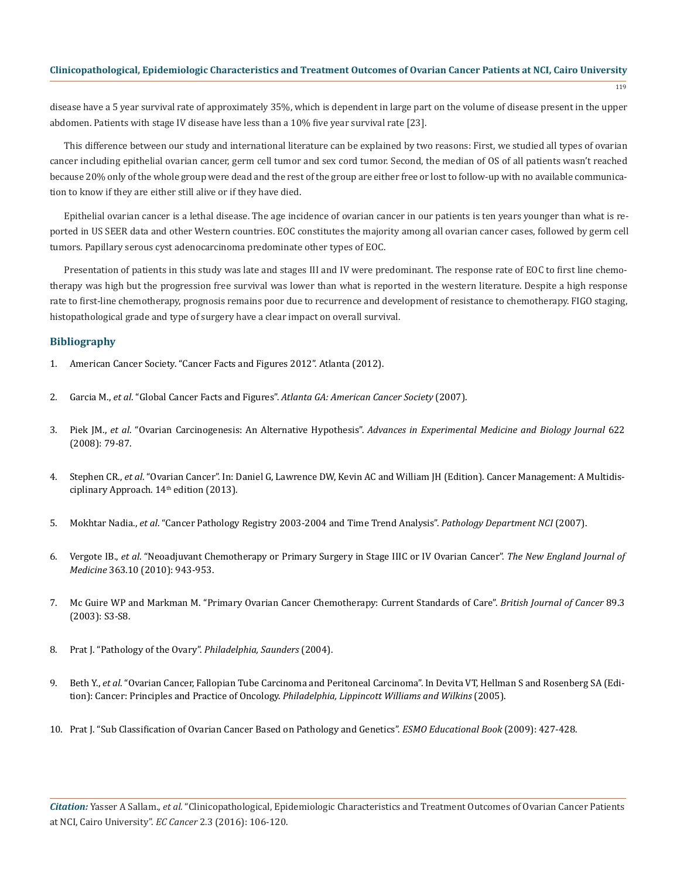$119$ 

disease have a 5 year survival rate of approximately 35%, which is dependent in large part on the volume of disease present in the upper abdomen. Patients with stage IV disease have less than a 10% five year survival rate [23].

This difference between our study and international literature can be explained by two reasons: First, we studied all types of ovarian cancer including epithelial ovarian cancer, germ cell tumor and sex cord tumor. Second, the median of OS of all patients wasn't reached because 20% only of the whole group were dead and the rest of the group are either free or lost to follow-up with no available communication to know if they are either still alive or if they have died.

Epithelial ovarian cancer is a lethal disease. The age incidence of ovarian cancer in our patients is ten years younger than what is reported in US SEER data and other Western countries. EOC constitutes the majority among all ovarian cancer cases, followed by germ cell tumors. Papillary serous cyst adenocarcinoma predominate other types of EOC.

Presentation of patients in this study was late and stages III and IV were predominant. The response rate of EOC to first line chemotherapy was high but the progression free survival was lower than what is reported in the western literature. Despite a high response rate to first-line chemotherapy, prognosis remains poor due to recurrence and development of resistance to chemotherapy. FIGO staging, histopathological grade and type of surgery have a clear impact on overall survival.

# **Bibliography**

- 1. American Cancer Society. "Cancer Facts and Figures 2012". Atlanta (2012).
- 2. Garcia M., *et al*. "Global Cancer Facts and Figures". *Atlanta GA: American Cancer Society* (2007).
- 3. Piek JM., *et al*. "Ovarian Carcinogenesis: An Alternative Hypothesis". *Advances in Experimental Medicine and Biology Journal* 622 (2008): 79-87.
- 4. Stephen CR., *et al*. "Ovarian Cancer". In: Daniel G, Lawrence DW, Kevin AC and William JH (Edition). Cancer Management: A Multidisciplinary Approach. 14<sup>th</sup> edition (2013).
- 5. Mokhtar Nadia., *et al*. "Cancer Pathology Registry 2003-2004 and Time Trend Analysis". *Pathology Department NCI* (2007).
- 6. Vergote IB., *et al*. "Neoadjuvant Chemotherapy or Primary Surgery in Stage IIIC or IV Ovarian Cancer". *The New England Journal of Medicine* 363.10 (2010): 943-953.
- 7. Mc Guire WP and Markman M. "Primary Ovarian Cancer Chemotherapy: Current Standards of Care". *British Journal of Cancer* 89.3 (2003): S3-S8.
- 8. Prat J. "Pathology of the Ovary". *Philadelphia, Saunders* (2004).
- 9. Beth Y., *et al*. "Ovarian Cancer, Fallopian Tube Carcinoma and Peritoneal Carcinoma". In Devita VT, Hellman S and Rosenberg SA (Edition): Cancer: Principles and Practice of Oncology. *Philadelphia, Lippincott Williams and Wilkins* (2005).
- 10. Prat J. "Sub Classification of Ovarian Cancer Based on Pathology and Genetics". *ESMO Educational Book* (2009): 427-428.